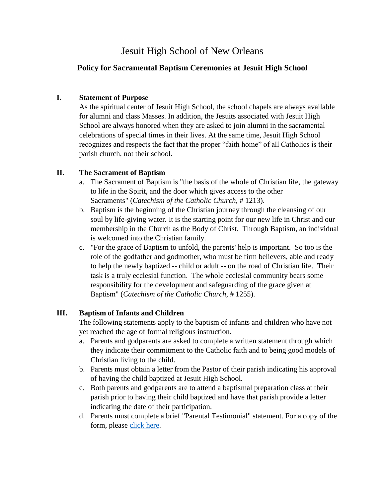# Jesuit High School of New Orleans

## **Policy for Sacramental Baptism Ceremonies at Jesuit High School**

#### **I. Statement of Purpose**

As the spiritual center of Jesuit High School, the school chapels are always available for alumni and class Masses. In addition, the Jesuits associated with Jesuit High School are always honored when they are asked to join alumni in the sacramental celebrations of special times in their lives. At the same time, Jesuit High School recognizes and respects the fact that the proper "faith home" of all Catholics is their parish church, not their school.

#### **II. The Sacrament of Baptism**

- a. The Sacrament of Baptism is "the basis of the whole of Christian life, the gateway to life in the Spirit, and the door which gives access to the other Sacraments" (*Catechism of the Catholic Church*, # 1213).
- b. Baptism is the beginning of the Christian journey through the cleansing of our soul by life-giving water. It is the starting point for our new life in Christ and our membership in the Church as the Body of Christ. Through Baptism, an individual is welcomed into the Christian family.
- c. "For the grace of Baptism to unfold, the parents' help is important. So too is the role of the godfather and godmother, who must be firm believers, able and ready to help the newly baptized -- child or adult -- on the road of Christian life. Their task is a truly ecclesial function. The whole ecclesial community bears some responsibility for the development and safeguarding of the grace given at Baptism" (*Catechism of the Catholic Church*, # 1255).

## **III. Baptism of Infants and Children**

The following statements apply to the baptism of infants and children who have not yet reached the age of formal religious instruction.

- a. Parents and godparents are asked to complete a written statement through which they indicate their commitment to the Catholic faith and to being good models of Christian living to the child.
- b. Parents must obtain a letter from the Pastor of their parish indicating his approval of having the child baptized at Jesuit High School.
- c. Both parents and godparents are to attend a baptismal preparation class at their parish prior to having their child baptized and have that parish provide a letter indicating the date of their participation.
- d. Parents must complete a brief "Parental Testimonial" statement. For a copy of the form, please [click](https://www.jesuitnola.org/site/wp-content/uploads/2019/09/ARNO-Parental-Testimonial-for-the-Sacrament-of-Baptism.pdf) here.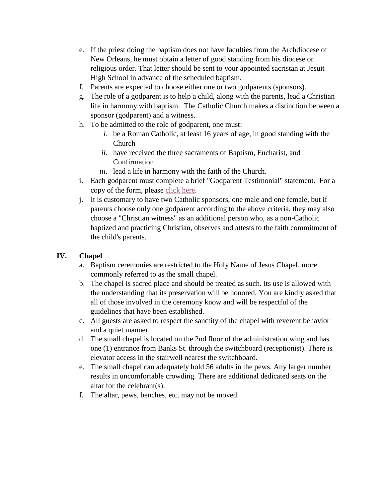- e. If the priest doing the baptism does not have faculties from the Archdiocese of New Orleans, he must obtain a letter of good standing from his diocese or religious order. That letter should be sent to your appointed sacristan at Jesuit High School in advance of the scheduled baptism.
- f. Parents are expected to choose either one or two godparents (sponsors).
- g. The role of a godparent is to help a child, along with the parents, lead a Christian life in harmony with baptism. The Catholic Church makes a distinction between a sponsor (godparent) and a witness.
- h. To be admitted to the role of godparent, one must:
	- *i.* be a Roman Catholic, at least 16 years of age, in good standing with the Church
	- *ii.* have received the three sacraments of Baptism, Eucharist, and Confirmation
	- *iii.* lead a life in harmony with the faith of the Church.
- i. Each godparent must complete a brief "Godparent Testimonial" statement. For a copy of the form, please [click here.](https://www.jesuitnola.org/site/wp-content/uploads/2019/09/ARNO-Godparent-Testimonial-for-the-Sacrament-of-Baptism.pdf)
- j. It is customary to have two Catholic sponsors, one male and one female, but if parents choose only one godparent according to the above criteria, they may also choose a "Christian witness" as an additional person who, as a non-Catholic baptized and practicing Christian, observes and attests to the faith commitment of the child's parents.

## **IV. Chapel**

- a. Baptism ceremonies are restricted to the Holy Name of Jesus Chapel, more commonly referred to as the small chapel.
- b. The chapel is sacred place and should be treated as such. Its use is allowed with the understanding that its preservation will be honored. You are kindly asked that all of those involved in the ceremony know and will be respectful of the guidelines that have been established.
- c. All guests are asked to respect the sanctity of the chapel with reverent behavior and a quiet manner.
- d. The small chapel is located on the 2nd floor of the administration wing and has one (1) entrance from Banks St. through the switchboard (receptionist). There is elevator access in the stairwell nearest the switchboard.
- e. The small chapel can adequately hold 56 adults in the pews. Any larger number results in uncomfortable crowding. There are additional dedicated seats on the altar for the celebrant(s).
- f. The altar, pews, benches, etc. may not be moved.